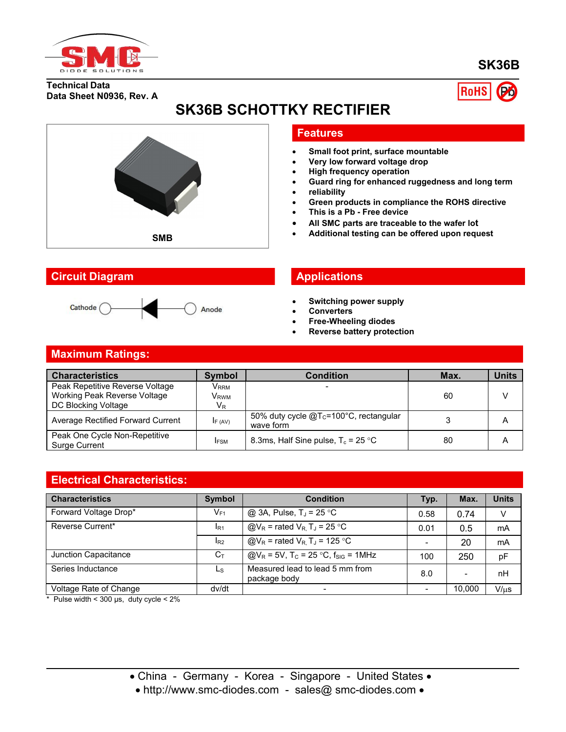

### **SK36B**

**Technical Data Data Sheet N0936, Rev. A**



## **SK36B SCHOTTKY RECTIFIER**



#### **Circuit Diagram Applications**



#### **Features**

- **Small foot print, surface mountable**
- **Very low forward voltage drop**
- **High frequency operation**
- **Guard ring for enhanced ruggedness and long term**
- **reliability**
- **Green products in compliance the ROHS directive**
- **This is a Pb - Free device**
- **All SMC parts are traceable to the wafer lot**
- **Additional testing can be offered upon request SMB**

- **Switching power supply**
- **Converters**
- **Free-Wheeling diodes**
- **Reverse battery protection**

## **Maximum Ratings:**

| <b>Characteristics</b>                         | <b>Symbol</b>    | Condition                                                       | Max. | <b>Units</b> |
|------------------------------------------------|------------------|-----------------------------------------------------------------|------|--------------|
| Peak Repetitive Reverse Voltage                | V <sub>RRM</sub> |                                                                 |      |              |
| Working Peak Reverse Voltage                   | V <sub>RWM</sub> |                                                                 | 60   |              |
| DC Blocking Voltage                            | $V_{R}$          |                                                                 |      |              |
| Average Rectified Forward Current              | IF (AV)          | 50% duty cycle @T <sub>c</sub> =100°C, rectangular<br>wave form |      | A            |
| Peak One Cycle Non-Repetitive<br>Surge Current | <b>IFSM</b>      | 8.3ms, Half Sine pulse, $T_c = 25 \degree C$                    | 80   | Α            |

#### **Electrical Characteristics:**

| <b>Characteristics</b> | <b>Symbol</b>   | <b>Condition</b>                                                   | Typ. | Max.                     | <b>Units</b>  |
|------------------------|-----------------|--------------------------------------------------------------------|------|--------------------------|---------------|
| Forward Voltage Drop*  | $V_{F1}$        | @ 3A, Pulse, $T_J = 25$ °C                                         | 0.58 | 0.74                     | $\mathcal{U}$ |
| Reverse Current*       | IR <sub>1</sub> | $@V_R$ = rated $V_R$ , T <sub>J</sub> = 25 °C                      | 0.01 | 0.5                      | mA            |
|                        | $I_{R2}$        | $\omega_{\text{R}}$ = rated V <sub>R</sub> T <sub>J</sub> = 125 °C |      | 20                       | mA            |
| Junction Capacitance   | $C_{\text{T}}$  | $Q/V_R = 5V$ , T <sub>c</sub> = 25 °C, f <sub>sig</sub> = 1MHz     | 100  | 250                      | pF            |
| Series Inductance      | Ls              | Measured lead to lead 5 mm from<br>package body                    | 8.0  | $\overline{\phantom{a}}$ | nH            |
| Voltage Rate of Change | dv/dt           | $\overline{\phantom{0}}$                                           |      | 10.000                   | $V/\mu s$     |

 $*$  Pulse width < 300 µs, duty cycle <  $2\%$ 

• http://www.smc-diodes.com - sales@ smc-diodes.com •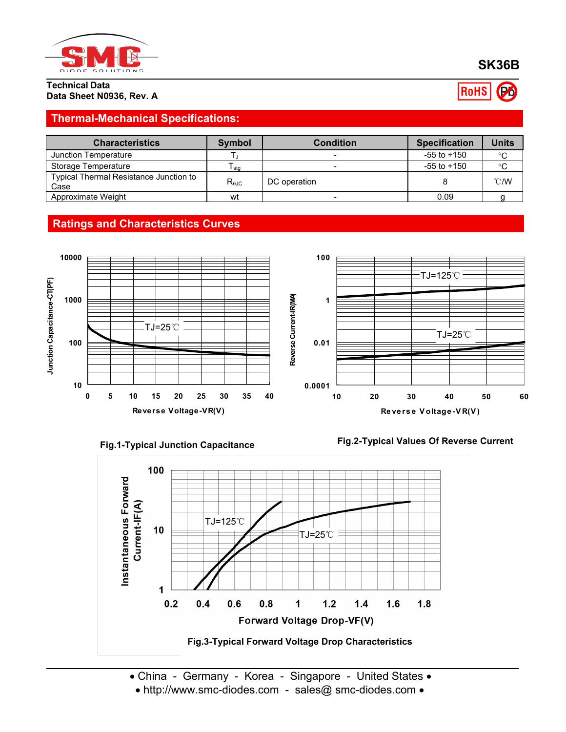

**Technical Data**

**SK36B**

RoHS

# **Data Sheet N0936, Rev. A**

### **Thermal-Mechanical Specifications:**

| <b>Characteristics</b>                         | <b>Symbol</b>  | <b>Condition</b> | <b>Specification</b> | Units          |
|------------------------------------------------|----------------|------------------|----------------------|----------------|
| Junction Temperature                           |                |                  | $-55$ to $+150$      | $\circ$        |
| Storage Temperature                            | I sta          |                  | $-55$ to $+150$      | $^{\circ}$ C   |
| Typical Thermal Resistance Junction to<br>Case | $R_{\theta$ JC | DC operation     |                      | $^{\circ}$ C/W |
| Approximate Weight                             | wt             |                  | 0.09                 |                |

### **Ratings and Characteristics Curves**







• http://www.smc-diodes.com - sales@ smc-diodes.com •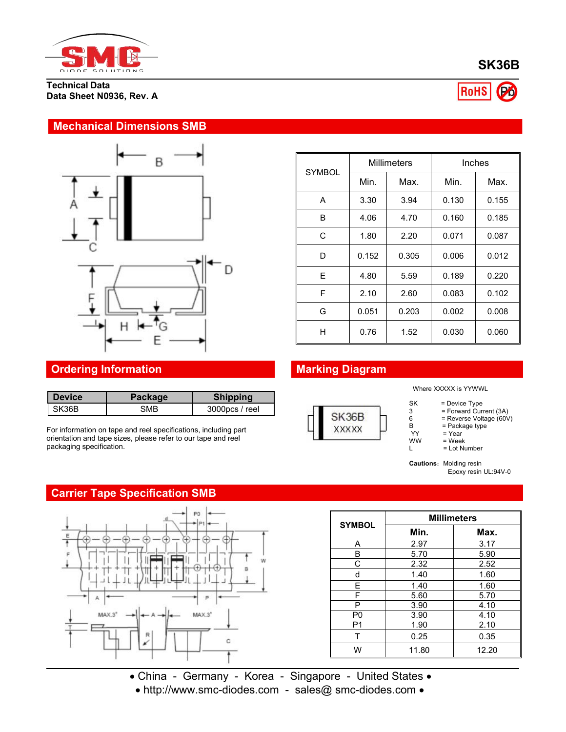

**Technical Data Data Sheet N0936, Rev. A**



# RoHS

#### **Mechanical Dimensions SMB**



| <b>SYMBOL</b> |       | <b>Millimeters</b> | Inches |       |
|---------------|-------|--------------------|--------|-------|
|               | Min.  | Max.               | Min.   | Max.  |
| A             | 3.30  | 3.94               | 0.130  | 0.155 |
| B             | 4.06  | 4.70               | 0.160  | 0.185 |
| C             | 1.80  | 2.20               | 0.071  | 0.087 |
| D             | 0.152 | 0.305              | 0.006  | 0.012 |
| E.            | 4.80  | 5.59               | 0.189  | 0.220 |
| F             | 2.10  | 2.60               | 0.083  | 0.102 |
| G             | 0.051 | 0.203              | 0.002  | 0.008 |
| H             | 0.76  | 1.52               | 0.030  | 0.060 |

## **Ordering Information Marking Diagram**

| <b>Device</b> | Packaqe | <b>Shipping</b> |                                               |
|---------------|---------|-----------------|-----------------------------------------------|
| SK36B         | SMB     | 3000pcs / reel  | $\bigcap \{f \in \bigcap f \in \mathcal{F}\}$ |

For information on tape and reel specifications, including part orientation and tape sizes, please refer to our tape and reel packaging specification.

#### **Carrier Tape Specification SMB**



| ххххх |  |
|-------|--|
|       |  |

Where XXXXX is YYWWL

- SK = Device Type
- 3 = Forward Current (3A)
- 6 = Reverse Voltage (60V) B = Package type<br>YY = Year

 $YY = Year$ <br> $WW = Weak$ 

 $\begin{array}{lll}\n\text{WW} & = \text{Week} \\
\text{L} & = \text{Lot Nu}\n\end{array}$ = Lot Number

**Cautions:** Molding resin Epoxy resin UL:94V-0

| <b>SYMBOL</b>  | <b>Millimeters</b> |       |  |  |
|----------------|--------------------|-------|--|--|
|                | Min.               | Max.  |  |  |
| A              | 2.97               | 3.17  |  |  |
| B              | 5.70               | 5.90  |  |  |
| С              | 2.32               | 2.52  |  |  |
| d              | 1.40               | 1.60  |  |  |
| E              | 1.40               | 1.60  |  |  |
| F              | 5.60               | 5.70  |  |  |
| P              | 3.90               | 4.10  |  |  |
| P <sub>0</sub> | 3.90               | 4.10  |  |  |
| P <sub>1</sub> | 1.90               | 2.10  |  |  |
| т              | 0.25               | 0.35  |  |  |
| W              | 11.80              | 12.20 |  |  |

• China - Germany - Korea - Singapore - United States •

• http://www.smc-diodes.com - sales@ smc-diodes.com •